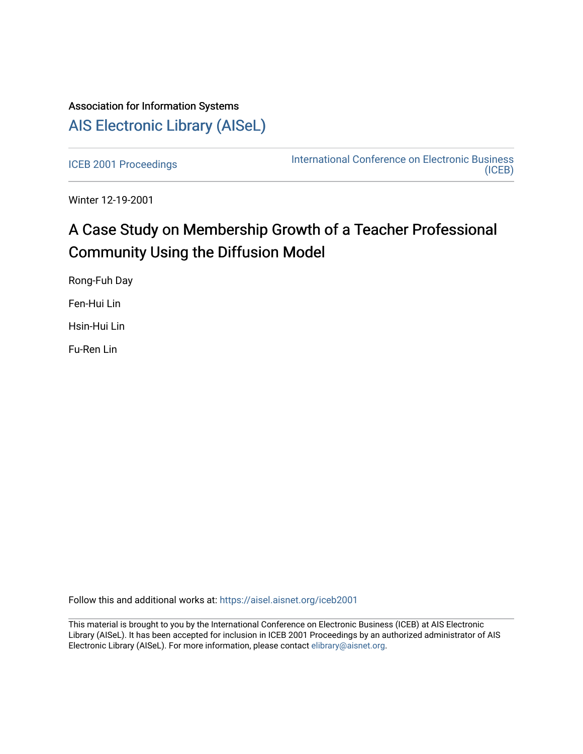# Association for Information Systems [AIS Electronic Library \(AISeL\)](https://aisel.aisnet.org/)

[ICEB 2001 Proceedings](https://aisel.aisnet.org/iceb2001) **International Conference on Electronic Business** [\(ICEB\)](https://aisel.aisnet.org/iceb) 

Winter 12-19-2001

# A Case Study on Membership Growth of a Teacher Professional Community Using the Diffusion Model

Rong-Fuh Day

Fen-Hui Lin

Hsin-Hui Lin

Fu-Ren Lin

Follow this and additional works at: [https://aisel.aisnet.org/iceb2001](https://aisel.aisnet.org/iceb2001?utm_source=aisel.aisnet.org%2Ficeb2001%2F71&utm_medium=PDF&utm_campaign=PDFCoverPages)

This material is brought to you by the International Conference on Electronic Business (ICEB) at AIS Electronic Library (AISeL). It has been accepted for inclusion in ICEB 2001 Proceedings by an authorized administrator of AIS Electronic Library (AISeL). For more information, please contact [elibrary@aisnet.org.](mailto:elibrary@aisnet.org%3E)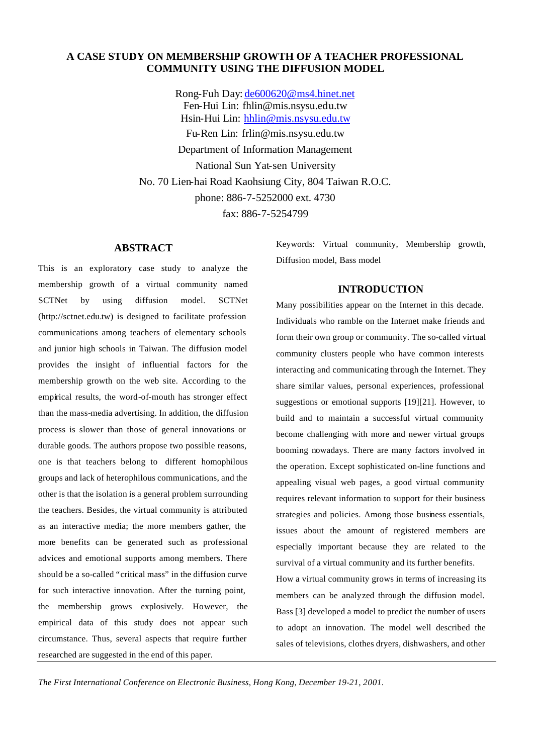# **A CASE STUDY ON MEMBERSHIP GROWTH OF A TEACHER PROFESSIONAL COMMUNITY USING THE DIFFUSION MODEL**

Rong-Fuh Day: de600620@ms4.hinet.net Fen-Hui Lin: fhlin@mis.nsysu.edu.tw Hsin-Hui Lin: hhlin@mis.nsysu.edu.tw Fu-Ren Lin: frlin@mis.nsysu.edu.tw Department of Information Management National Sun Yat-sen University No. 70 Lien-hai Road Kaohsiung City, 804 Taiwan R.O.C. phone: 886-7-5252000 ext. 4730 fax: 886-7-5254799

#### **ABSTRACT**

This is an exploratory case study to analyze the membership growth of a virtual community named SCTNet by using diffusion model. SCTNet (http://sctnet.edu.tw) is designed to facilitate profession communications among teachers of elementary schools and junior high schools in Taiwan. The diffusion model provides the insight of influential factors for the membership growth on the web site. According to the empirical results, the word-of-mouth has stronger effect than the mass-media advertising. In addition, the diffusion process is slower than those of general innovations or durable goods. The authors propose two possible reasons, one is that teachers belong to different homophilous groups and lack of heterophilous communications, and the other is that the isolation is a general problem surrounding the teachers. Besides, the virtual community is attributed as an interactive media; the more members gather, the more benefits can be generated such as professional advices and emotional supports among members. There should be a so-called "critical mass" in the diffusion curve for such interactive innovation. After the turning point, the membership grows explosively. However, the empirical data of this study does not appear such circumstance. Thus, several aspects that require further researched are suggested in the end of this paper.

Keywords: Virtual community, Membership growth, Diffusion model, Bass model

#### **INTRODUCTION**

Many possibilities appear on the Internet in this decade. Individuals who ramble on the Internet make friends and form their own group or community. The so-called virtual community clusters people who have common interests interacting and communicating through the Internet. They share similar values, personal experiences, professional suggestions or emotional supports [19][21]. However, to build and to maintain a successful virtual community become challenging with more and newer virtual groups booming nowadays. There are many factors involved in the operation. Except sophisticated on-line functions and appealing visual web pages, a good virtual community requires relevant information to support for their business strategies and policies. Among those business essentials, issues about the amount of registered members are especially important because they are related to the survival of a virtual community and its further benefits.

How a virtual community grows in terms of increasing its members can be analyzed through the diffusion model. Bass [3] developed a model to predict the number of users to adopt an innovation. The model well described the sales of televisions, clothes dryers, dishwashers, and other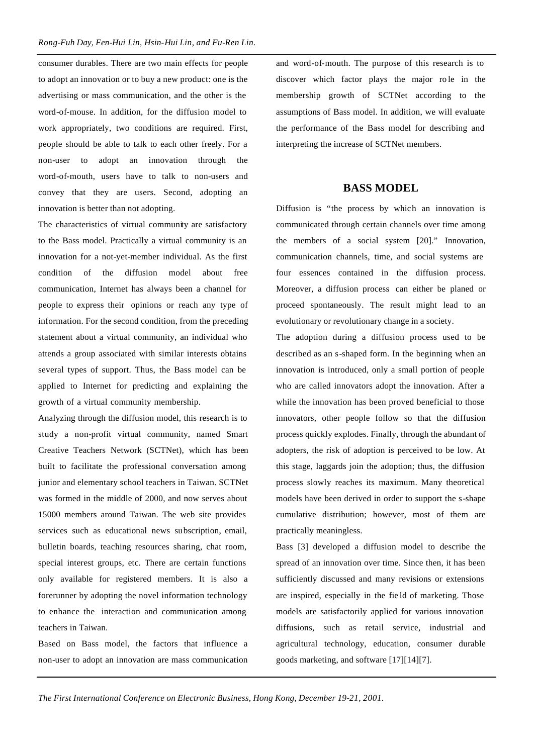consumer durables. There are two main effects for people to adopt an innovation or to buy a new product: one is the advertising or mass communication, and the other is the word-of-mouse. In addition, for the diffusion model to work appropriately, two conditions are required. First, people should be able to talk to each other freely. For a non-user to adopt an innovation through the word-of-mouth, users have to talk to non-users and convey that they are users. Second, adopting an innovation is better than not adopting.

The characteristics of virtual community are satisfactory to the Bass model. Practically a virtual community is an innovation for a not-yet-member individual. As the first condition of the diffusion model about free communication, Internet has always been a channel for people to express their opinions or reach any type of information. For the second condition, from the preceding statement about a virtual community, an individual who attends a group associated with similar interests obtains several types of support. Thus, the Bass model can be applied to Internet for predicting and explaining the growth of a virtual community membership.

Analyzing through the diffusion model, this research is to study a non-profit virtual community, named Smart Creative Teachers Network (SCTNet), which has been built to facilitate the professional conversation among junior and elementary school teachers in Taiwan. SCTNet was formed in the middle of 2000, and now serves about 15000 members around Taiwan. The web site provides services such as educational news subscription, email, bulletin boards, teaching resources sharing, chat room, special interest groups, etc. There are certain functions only available for registered members. It is also a forerunner by adopting the novel information technology to enhance the interaction and communication among teachers in Taiwan.

Based on Bass model, the factors that influence a non-user to adopt an innovation are mass communication and word-of-mouth. The purpose of this research is to discover which factor plays the major ro le in the membership growth of SCTNet according to the assumptions of Bass model. In addition, we will evaluate the performance of the Bass model for describing and interpreting the increase of SCTNet members.

# **BASS MODEL**

Diffusion is "the process by which an innovation is communicated through certain channels over time among the members of a social system [20]." Innovation, communication channels, time, and social systems are four essences contained in the diffusion process. Moreover, a diffusion process can either be planed or proceed spontaneously. The result might lead to an evolutionary or revolutionary change in a society.

The adoption during a diffusion process used to be described as an s-shaped form. In the beginning when an innovation is introduced, only a small portion of people who are called innovators adopt the innovation. After a while the innovation has been proved beneficial to those innovators, other people follow so that the diffusion process quickly explodes. Finally, through the abundant of adopters, the risk of adoption is perceived to be low. At this stage, laggards join the adoption; thus, the diffusion process slowly reaches its maximum. Many theoretical models have been derived in order to support the s-shape cumulative distribution; however, most of them are practically meaningless.

Bass [3] developed a diffusion model to describe the spread of an innovation over time. Since then, it has been sufficiently discussed and many revisions or extensions are inspired, especially in the fie ld of marketing. Those models are satisfactorily applied for various innovation diffusions, such as retail service, industrial and agricultural technology, education, consumer durable goods marketing, and software [17][14][7].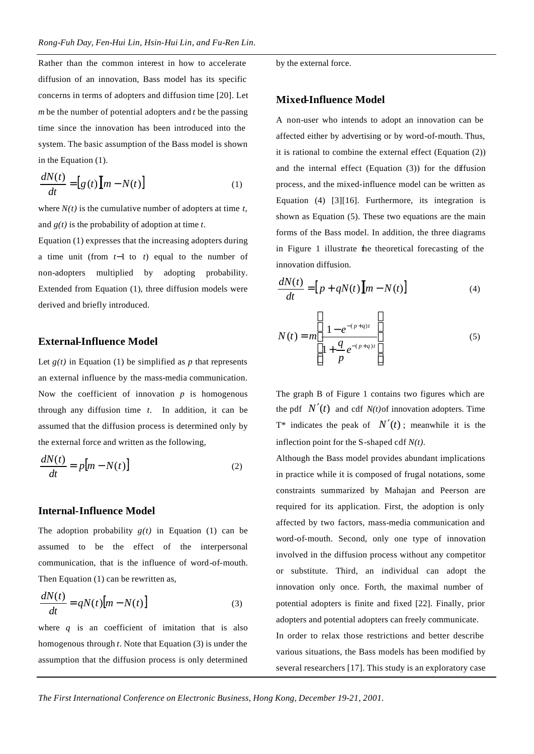Rather than the common interest in how to accelerate diffusion of an innovation, Bass model has its specific concerns in terms of adopters and diffusion time [20]. Let *m* be the number of potential adopters and *t* be the passing time since the innovation has been introduced into the system. The basic assumption of the Bass model is shown in the Equation (1).

$$
\frac{dN(t)}{dt} = [g(t)][m - N(t)]\tag{1}
$$

where *N(t)* is the cumulative number of adopters at time *t*, and *g(t)* is the probability of adoption at time *t*.

Equation (1) expresses that the increasing adopters during a time unit (from *t*−1 to *t*) equal to the number of non-adopters multiplied by adopting probability. Extended from Equation (1), three diffusion models were derived and briefly introduced.

## **External-Influence Model**

Let  $g(t)$  in Equation (1) be simplified as *p* that represents an external influence by the mass-media communication. Now the coefficient of innovation  $p$  is homogenous through any diffusion time *t*. In addition, it can be assumed that the diffusion process is determined only by the external force and written as the following,

$$
\frac{dN(t)}{dt} = p[m - N(t)]\tag{2}
$$

#### **Internal-Influence Model**

The adoption probability  $g(t)$  in Equation (1) can be assumed to be the effect of the interpersonal communication, that is the influence of word-of-mouth. Then Equation (1) can be rewritten as,

$$
\frac{dN(t)}{dt} = qN(t)[m - N(t)]\tag{3}
$$

where  $q$  is an coefficient of imitation that is also homogenous through *t*. Note that Equation (3) is under the assumption that the diffusion process is only determined by the external force.

#### **Mixed-Influence Model**

A non-user who intends to adopt an innovation can be affected either by advertising or by word-of-mouth. Thus, it is rational to combine the external effect (Equation (2)) and the internal effect (Equation (3)) for the diffusion process, and the mixed-influence model can be written as Equation (4) [3][16]. Furthermore, its integration is shown as Equation (5). These two equations are the main forms of the Bass model. In addition, the three diagrams in Figure 1 illustrate the theoretical forecasting of the innovation diffusion.

$$
\frac{dN(t)}{dt} = [p + qN(t)][m - N(t)]\tag{4}
$$

$$
N(t) = m \left[ \frac{1 - e^{-(p+q)t}}{1 + \frac{q}{p} e^{-(p+q)t}} \right]
$$
 (5)

The graph B of Figure 1 contains two figures which are the pdf  $N'(t)$  and cdf  $N(t)$  of innovation adopters. Time T<sup>\*</sup> indicates the peak of  $N'(t)$ ; meanwhile it is the inflection point for the S-shaped cdf *N(t)*.

Although the Bass model provides abundant implications in practice while it is composed of frugal notations, some constraints summarized by Mahajan and Peerson are required for its application. First, the adoption is only affected by two factors, mass-media communication and word-of-mouth. Second, only one type of innovation involved in the diffusion process without any competitor or substitute. Third, an individual can adopt the innovation only once. Forth, the maximal number of potential adopters is finite and fixed [22]. Finally, prior adopters and potential adopters can freely communicate. In order to relax those restrictions and better describe various situations, the Bass models has been modified by several researchers [17]. This study is an exploratory case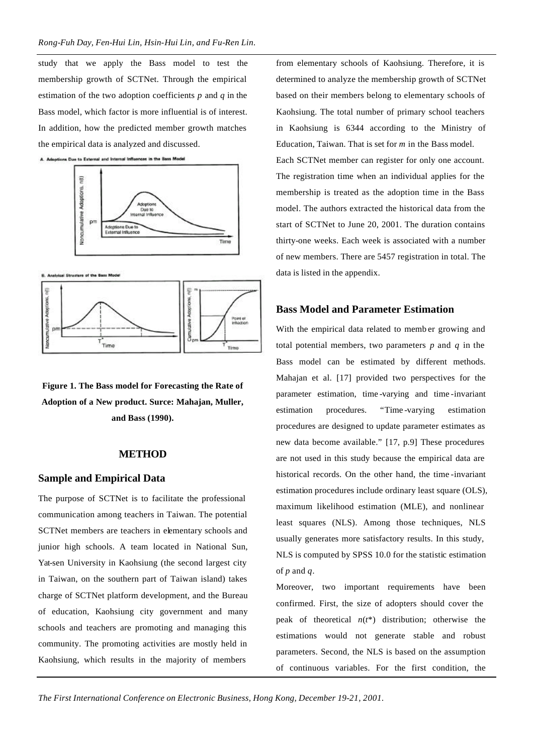study that we apply the Bass model to test the membership growth of SCTNet. Through the empirical estimation of the two adoption coefficients *p* and *q* in the Bass model, which factor is more influential is of interest. In addition, how the predicted member growth matches the empirical data is analyzed and discussed.





**8. Analytesi Structure of the Bo** 



**Figure 1. The Bass model for Forecasting the Rate of Adoption of a New product. Surce: Mahajan, Muller, and Bass (1990).**

#### **METHOD**

#### **Sample and Empirical Data**

The purpose of SCTNet is to facilitate the professional communication among teachers in Taiwan. The potential SCTNet members are teachers in elementary schools and junior high schools. A team located in National Sun, Yat-sen University in Kaohsiung (the second largest city in Taiwan, on the southern part of Taiwan island) takes charge of SCTNet platform development, and the Bureau of education, Kaohsiung city government and many schools and teachers are promoting and managing this community. The promoting activities are mostly held in Kaohsiung, which results in the majority of members

from elementary schools of Kaohsiung. Therefore, it is determined to analyze the membership growth of SCTNet based on their members belong to elementary schools of Kaohsiung. The total number of primary school teachers in Kaohsiung is 6344 according to the Ministry of Education, Taiwan. That is set for *m* in the Bass model. Each SCTNet member can register for only one account. The registration time when an individual applies for the membership is treated as the adoption time in the Bass model. The authors extracted the historical data from the start of SCTNet to June 20, 2001. The duration contains thirty-one weeks. Each week is associated with a number of new members. There are 5457 registration in total. The data is listed in the appendix.

# **Bass Model and Parameter Estimation**

With the empirical data related to memb er growing and total potential members, two parameters *p* and *q* in the Bass model can be estimated by different methods. Mahajan et al. [17] provided two perspectives for the parameter estimation, time -varying and time -invariant estimation procedures. "Time -varying estimation procedures are designed to update parameter estimates as new data become available." [17, p.9] These procedures are not used in this study because the empirical data are historical records. On the other hand, the time -invariant estimation procedures include ordinary least square (OLS), maximum likelihood estimation (MLE), and nonlinear least squares (NLS). Among those techniques, NLS usually generates more satisfactory results. In this study, NLS is computed by SPSS 10.0 for the statistic estimation of *p* and *q*.

Moreover, two important requirements have been confirmed. First, the size of adopters should cover the peak of theoretical *n*(*t*\*) distribution; otherwise the estimations would not generate stable and robust parameters. Second, the NLS is based on the assumption of continuous variables. For the first condition, the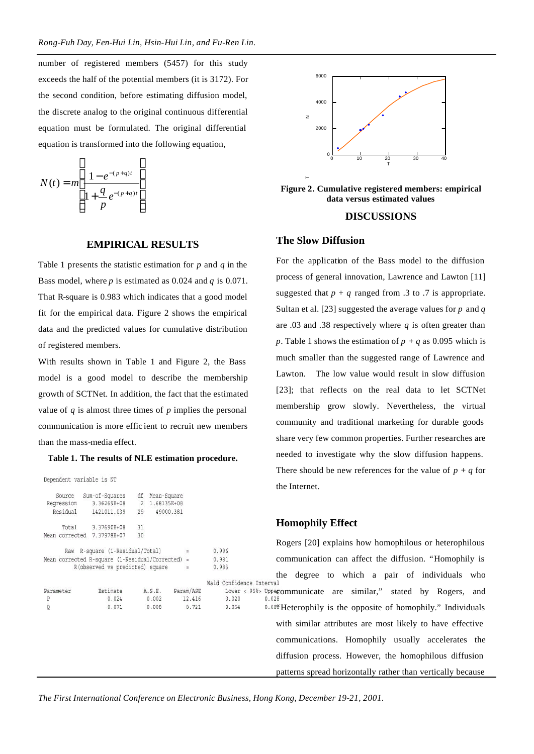number of registered members (5457) for this study exceeds the half of the potential members (it is 3172). For the second condition, before estimating diffusion model, the discrete analog to the original continuous differential equation must be formulated. The original differential equation is transformed into the following equation,

 $\overline{1}$ 

$$
N(t) = m \left[ \frac{1 - e^{-(p+q)t}}{1 + \frac{q}{p} e^{-(p+q)t}} \right]
$$

 $\Gamma$ 

#### **EMPIRICAL RESULTS**

Table 1 presents the statistic estimation for *p* and *q* in the Bass model, where *p* is estimated as 0.024 and *q* is 0.071. That R-square is 0.983 which indicates that a good model fit for the empirical data. Figure 2 shows the empirical data and the predicted values for cumulative distribution of registered members.

With results shown in Table 1 and Figure 2, the Bass model is a good model to describe the membership growth of SCTNet. In addition, the fact that the estimated value of  $q$  is almost three times of  $p$  implies the personal communication is more effic ient to recruit new members than the mass-media effect.

#### **Table 1. The results of NLE estimation procedure.**

Dependent variable is NT

| Source         | Sum-of-Squares                                      | df | Mean-Square   |           |             |
|----------------|-----------------------------------------------------|----|---------------|-----------|-------------|
| Regression     | 3.36269E+08                                         |    | 2 1.68135E+08 |           |             |
| Residual       | 1421011.039                                         | 29 |               | 49000.381 |             |
| Total          | 3.37690E+08                                         | 31 |               |           |             |
|                | Mean corrected 7.37978E+07                          | 30 |               |           |             |
| Raw            | R-square (1-Residual/Total)                         |    |               | $\equiv$  | 0.996       |
|                | Mean corrected R-square $(1$ -Residual/Corrected) = |    |               |           | 0.981       |
|                | R(observed vs predicted) square                     |    |               | $\equiv$  | 0.983       |
|                |                                                     |    |               |           | Wald Confid |
| Parameter      | Estimate                                            |    | A.S.E.        | Param/ASE | Lower       |
| P              | 0.024                                               |    | 0.002         | 12,416    | 0.020       |
| $\overline{Q}$ | 0.071                                               |    | 0.008         | 8.721     | 0.054       |
|                |                                                     |    |               |           |             |
|                |                                                     |    |               |           |             |
|                |                                                     |    |               |           |             |
|                |                                                     |    |               |           |             |
|                |                                                     |    |               |           |             |





#### **DISCUSSIONS**

#### **The Slow Diffusion**

For the application of the Bass model to the diffusion process of general innovation, Lawrence and Lawton [11] suggested that  $p + q$  ranged from .3 to .7 is appropriate. Sultan et al. [23] suggested the average values for *p* and *q* are .03 and .38 respectively where *q* is often greater than *p*. Table 1 shows the estimation of  $p + q$  as 0.095 which is much smaller than the suggested range of Lawrence and Lawton. The low value would result in slow diffusion [23]; that reflects on the real data to let SCTNet membership grow slowly. Nevertheless, the virtual community and traditional marketing for durable goods share very few common properties. Further researches are needed to investigate why the slow diffusion happens. There should be new references for the value of  $p + q$  for the Internet.

#### **Homophily Effect**

Rogers [20] explains how homophilous or heterophilous communication can affect the diffusion. "Homophily is the degree to which a pair of individuals who  $\leq$  95% Upper communicate are similar," stated by Rogers, and 0.088 Heterophily is the opposite of homophily." Individuals with similar attributes are most likely to have effective communications. Homophily usually accelerates the diffusion process. However, the homophilous diffusion patterns spread horizontally rather than vertically because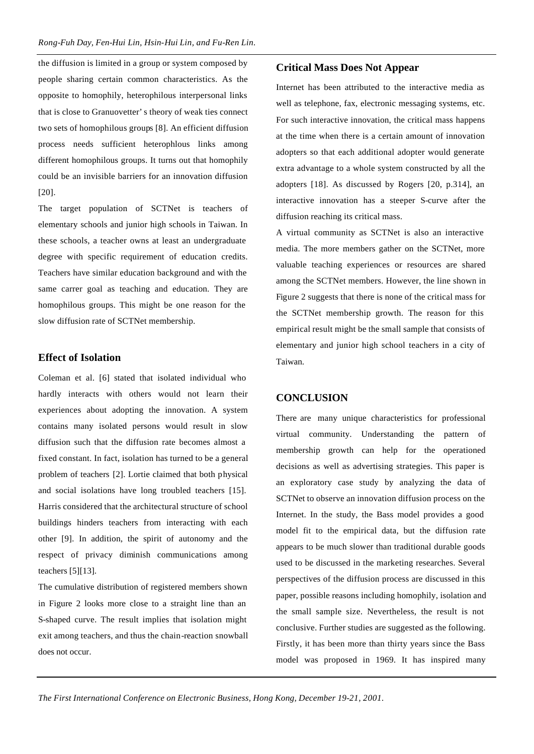the diffusion is limited in a group or system composed by people sharing certain common characteristics. As the opposite to homophily, heterophilous interpersonal links that is close to Granuovetter's theory of weak ties connect two sets of homophilous groups [8]. An efficient diffusion process needs sufficient heterophlous links among different homophilous groups. It turns out that homophily could be an invisible barriers for an innovation diffusion [20].

The target population of SCTNet is teachers of elementary schools and junior high schools in Taiwan. In these schools, a teacher owns at least an undergraduate degree with specific requirement of education credits. Teachers have similar education background and with the same carrer goal as teaching and education. They are homophilous groups. This might be one reason for the slow diffusion rate of SCTNet membership.

#### **Effect of Isolation**

Coleman et al. [6] stated that isolated individual who hardly interacts with others would not learn their experiences about adopting the innovation. A system contains many isolated persons would result in slow diffusion such that the diffusion rate becomes almost a fixed constant. In fact, isolation has turned to be a general problem of teachers [2]. Lortie claimed that both physical and social isolations have long troubled teachers [15]. Harris considered that the architectural structure of school buildings hinders teachers from interacting with each other [9]. In addition, the spirit of autonomy and the respect of privacy diminish communications among teachers [5][13].

The cumulative distribution of registered members shown in Figure 2 looks more close to a straight line than an S-shaped curve. The result implies that isolation might exit among teachers, and thus the chain-reaction snowball does not occur.

#### **Critical Mass Does Not Appear**

Internet has been attributed to the interactive media as well as telephone, fax, electronic messaging systems, etc. For such interactive innovation, the critical mass happens at the time when there is a certain amount of innovation adopters so that each additional adopter would generate extra advantage to a whole system constructed by all the adopters [18]. As discussed by Rogers [20, p.314], an interactive innovation has a steeper S-curve after the diffusion reaching its critical mass.

A virtual community as SCTNet is also an interactive media. The more members gather on the SCTNet, more valuable teaching experiences or resources are shared among the SCTNet members. However, the line shown in Figure 2 suggests that there is none of the critical mass for the SCTNet membership growth. The reason for this empirical result might be the small sample that consists of elementary and junior high school teachers in a city of Taiwan.

## **CONCLUSION**

There are many unique characteristics for professional virtual community. Understanding the pattern of membership growth can help for the operationed decisions as well as advertising strategies. This paper is an exploratory case study by analyzing the data of SCTNet to observe an innovation diffusion process on the Internet. In the study, the Bass model provides a good model fit to the empirical data, but the diffusion rate appears to be much slower than traditional durable goods used to be discussed in the marketing researches. Several perspectives of the diffusion process are discussed in this paper, possible reasons including homophily, isolation and the small sample size. Nevertheless, the result is not conclusive. Further studies are suggested as the following. Firstly, it has been more than thirty years since the Bass model was proposed in 1969. It has inspired many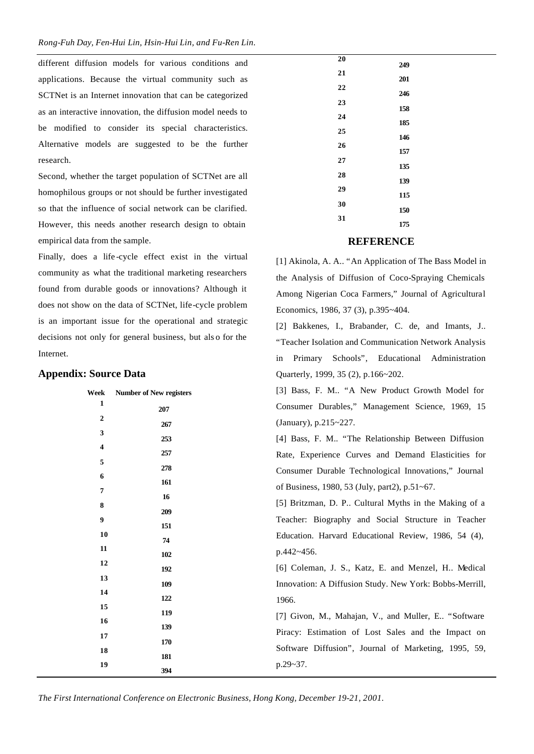different diffusion models for various conditions and applications. Because the virtual community such as SCTNet is an Internet innovation that can be categorized as an interactive innovation, the diffusion model needs to be modified to consider its special characteristics. Alternative models are suggested to be the further research.

Second, whether the target population of SCTNet are all homophilous groups or not should be further investigated so that the influence of social network can be clarified. However, this needs another research design to obtain empirical data from the sample.

Finally, does a life -cycle effect exist in the virtual community as what the traditional marketing researchers found from durable goods or innovations? Although it does not show on the data of SCTNet, life-cycle problem is an important issue for the operational and strategic decisions not only for general business, but als o for the Internet.

#### **Appendix: Source Data**

| Week | <b>Number of New registers</b> | [3] Bass, F. M "A New Product Growth Model for          |  |  |  |  |
|------|--------------------------------|---------------------------------------------------------|--|--|--|--|
| 1    | 207                            | Consumer Durables," Management Science, 1969, 15        |  |  |  |  |
| 2    | 267                            | (January), p.215~227.                                   |  |  |  |  |
| 3    | 253                            | [4] Bass, F. M "The Relationship Between Diffusion      |  |  |  |  |
| 4    | 257                            | Rate, Experience Curves and Demand Elasticities for     |  |  |  |  |
| 5    | 278                            | Consumer Durable Technological Innovations," Journal    |  |  |  |  |
| 6    | 161                            | of Business, 1980, 53 (July, part2), p.51~67.           |  |  |  |  |
| 7    | 16                             |                                                         |  |  |  |  |
| 8    | 209                            | [5] Britzman, D. P Cultural Myths in the Making of a    |  |  |  |  |
| 9    | 151                            | Teacher: Biography and Social Structure in Teacher      |  |  |  |  |
| 10   | 74                             | Education. Harvard Educational Review, 1986, 54 (4),    |  |  |  |  |
| 11   | 102                            | p.442~456.                                              |  |  |  |  |
| 12   | 192                            | [6] Coleman, J. S., Katz, E. and Menzel, H., Medical    |  |  |  |  |
| 13   | 109                            | Innovation: A Diffusion Study. New York: Bobbs-Merrill, |  |  |  |  |
| 14   |                                |                                                         |  |  |  |  |
| 15   | 122                            | 1966.                                                   |  |  |  |  |
| 16   | 119                            | [7] Givon, M., Mahajan, V., and Muller, E "Software"    |  |  |  |  |
|      | 139                            | Piracy: Estimation of Lost Sales and the Impact on      |  |  |  |  |
| 17   | 170                            |                                                         |  |  |  |  |
| 18   |                                | Software Diffusion", Journal of Marketing, 1995, 59,    |  |  |  |  |
| 19   | 181                            | $p.29 - 37.$                                            |  |  |  |  |
|      | 394                            |                                                         |  |  |  |  |

# **REFERENCE**

[1] Akinola, A. A.. "An Application of The Bass Model in the Analysis of Diffusion of Coco-Spraying Chemicals Among Nigerian Coca Farmers," Journal of Agricultural Economics, 1986, 37 (3), p.395~404.

[2] Bakkenes, I., Brabander, C. de, and Imants, J.. "Teacher Isolation and Communication Network Analysis in Primary Schools", Educational Administration Quarterly, 1999, 35 (2), p.166~202.